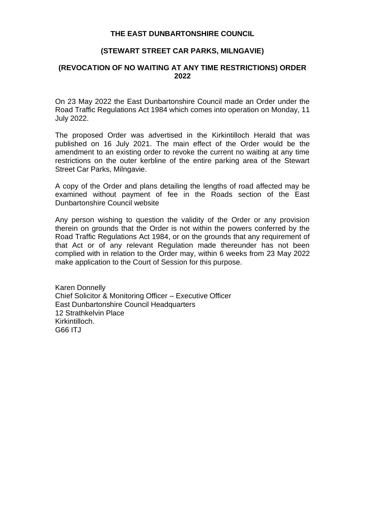#### **THE EAST DUNBARTONSHIRE COUNCIL**

### **(STEWART STREET CAR PARKS, MILNGAVIE)**

### **(REVOCATION OF NO WAITING AT ANY TIME RESTRICTIONS) ORDER 2022**

On 23 May 2022 the East Dunbartonshire Council made an Order under the Road Traffic Regulations Act 1984 which comes into operation on Monday, 11 July 2022.

The proposed Order was advertised in the Kirkintilloch Herald that was published on 16 July 2021. The main effect of the Order would be the amendment to an existing order to revoke the current no waiting at any time restrictions on the outer kerbline of the entire parking area of the Stewart Street Car Parks, Milngavie.

A copy of the Order and plans detailing the lengths of road affected may be examined without payment of fee in the Roads section of the East Dunbartonshire Council website

Any person wishing to question the validity of the Order or any provision therein on grounds that the Order is not within the powers conferred by the Road Traffic Regulations Act 1984, or on the grounds that any requirement of that Act or of any relevant Regulation made thereunder has not been complied with in relation to the Order may, within 6 weeks from 23 May 2022 make application to the Court of Session for this purpose.

Karen Donnelly Chief Solicitor & Monitoring Officer – Executive Officer East Dunbartonshire Council Headquarters 12 Strathkelvin Place Kirkintilloch. G66 ITJ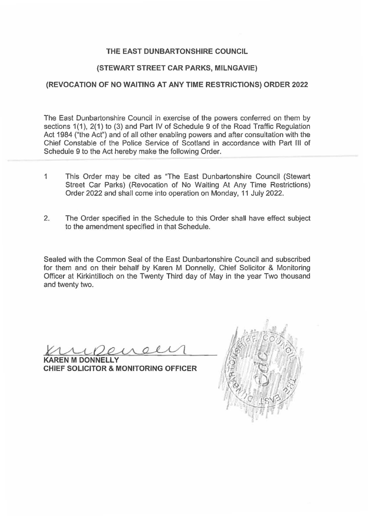## **THE EAST DUNBARTONSHIRE COUNCIL**

### **{STEWART STREET CAR PARKS, MILNGAVIE)**

## **(REVOCATION OF NO WAITING AT ANY TIME RESTRICTIONS) ORDER 2022**

The East Dunbartonshire Council in exercise of the powers conferred on them by sections 1(1), 2(1) to (3) and Part IV of Schedule 9 of the Road Traffic Regulation Act 1984 ("the Act") and of all other enabling powers and after consultation with the Chief Constable of the Police Service of Scotland in accordance with Part Ill of Schedule 9 to the Act hereby make the following Order.

- 1 This Order may be cited as "The East Dunbartonshire Council (Stewart Street Car Parks) (Revocation of No Waiting At Any Time Restrictions) Order 2022 and shall come into operation on Monday, 11 July 2022.
- 2. The Order specified in the Schedule to this Order shall have effect subject to the amendment specified in that Schedule.

Sealed with the Common Seal of the East Dunbartonshire Council and subscribed for them and on their behalf by Karen M Donnelly, Chief Solicitor & Monitoring Officer at Kirkintilloch on the Twenty Third day of May in the year Two thousand and twenty two.

 $\mathcal{A}$ 

**REN M DONNELLY CHIEF SOLICITOR** & **MONITORING OFFICER** 

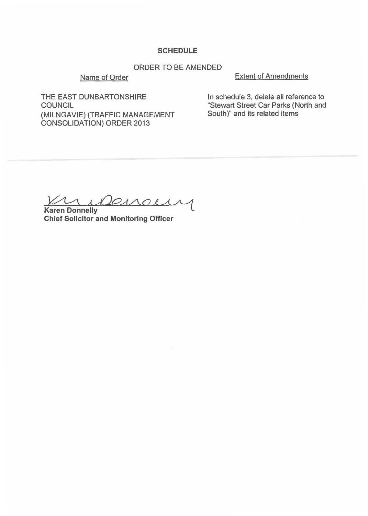#### **SCHEDULE**

# ORDER TO BE AMENDED

#### Name of Order

Extent of Amendments

THE EAST DUNBARTONSHIRE COUNCIL (MILNGAVIE) {TRAFFIC MANAGEMENT CONSOLIDATION) ORDER 2013

In schedule 3, delete all reference to "Stewart Street Car Parks (North and South)" and its related items

**Karen Donnelly**  *Denoty* 

**Chief Solicitor and Monitoring Officer**